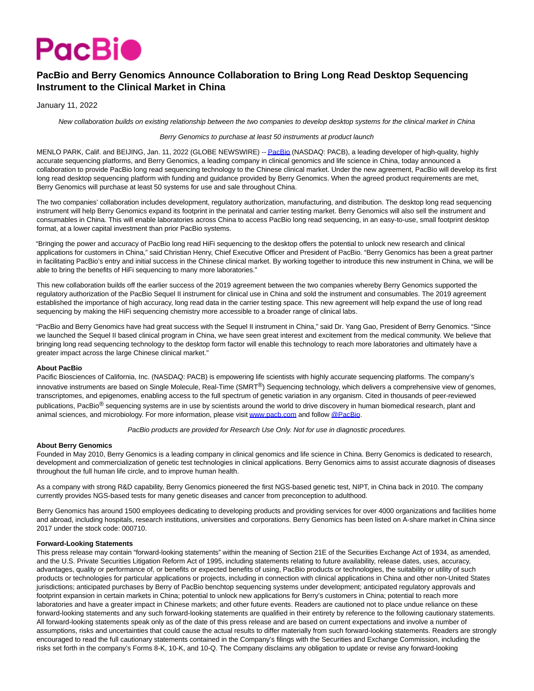

# **PacBio and Berry Genomics Announce Collaboration to Bring Long Read Desktop Sequencing Instrument to the Clinical Market in China**

January 11, 2022

New collaboration builds on existing relationship between the two companies to develop desktop systems for the clinical market in China

### Berry Genomics to purchase at least 50 instruments at product launch

MENLO PARK, Calif. and BEIJING, Jan. 11, 2022 (GLOBE NEWSWIRE) -[- PacBio \(](https://www.globenewswire.com/Tracker?data=Gd7X7dd6fYsqkSoW6IoVJduaODIS6N3bjNDVSF2cbXAULJcqqMO4P5NO9BfeJ8Ax48e60MZ9rrGKeuRO3DfPsA==)NASDAQ: PACB), a leading developer of high-quality, highly accurate sequencing platforms, and Berry Genomics, a leading company in clinical genomics and life science in China, today announced a collaboration to provide PacBio long read sequencing technology to the Chinese clinical market. Under the new agreement, PacBio will develop its first long read desktop sequencing platform with funding and guidance provided by Berry Genomics. When the agreed product requirements are met, Berry Genomics will purchase at least 50 systems for use and sale throughout China.

The two companies' collaboration includes development, regulatory authorization, manufacturing, and distribution. The desktop long read sequencing instrument will help Berry Genomics expand its footprint in the perinatal and carrier testing market. Berry Genomics will also sell the instrument and consumables in China. This will enable laboratories across China to access PacBio long read sequencing, in an easy-to-use, small footprint desktop format, at a lower capital investment than prior PacBio systems.

"Bringing the power and accuracy of PacBio long read HiFi sequencing to the desktop offers the potential to unlock new research and clinical applications for customers in China," said Christian Henry, Chief Executive Officer and President of PacBio. "Berry Genomics has been a great partner in facilitating PacBio's entry and initial success in the Chinese clinical market. By working together to introduce this new instrument in China, we will be able to bring the benefits of HiFi sequencing to many more laboratories."

This new collaboration builds off the earlier success of the 2019 agreement between the two companies whereby Berry Genomics supported the regulatory authorization of the PacBio Sequel II instrument for clinical use in China and sold the instrument and consumables. The 2019 agreement established the importance of high accuracy, long read data in the carrier testing space. This new agreement will help expand the use of long read sequencing by making the HiFi sequencing chemistry more accessible to a broader range of clinical labs.

"PacBio and Berry Genomics have had great success with the Sequel II instrument in China," said Dr. Yang Gao, President of Berry Genomics. "Since we launched the Sequel II based clinical program in China, we have seen great interest and excitement from the medical community. We believe that bringing long read sequencing technology to the desktop form factor will enable this technology to reach more laboratories and ultimately have a greater impact across the large Chinese clinical market."

## **About PacBio**

Pacific Biosciences of California, Inc. (NASDAQ: PACB) is empowering life scientists with highly accurate sequencing platforms. The company's innovative instruments are based on Single Molecule, Real-Time  $(SMRT^@)$  Sequencing technology, which delivers a comprehensive view of genomes, transcriptomes, and epigenomes, enabling access to the full spectrum of genetic variation in any organism. Cited in thousands of peer-reviewed publications. PacBio<sup>®</sup> sequencing systems are in use by scientists around the world to drive discovery in human biomedical research, plant and animal sciences, and microbiology. For more information, please visi[t www.pacb.com a](https://www.globenewswire.com/Tracker?data=AvCuEblDZiRdzaj7nS5BZeRZAKI2nQESs5lQtLwaFTGBiEef2oyyv7QsgenXBCajxtCJ3gdBRtxGl6TgMKgmHg==)nd follow [@PacBio.](https://www.globenewswire.com/Tracker?data=QldoYLVuTKYJ-amKWMc8Jyb4HVv6Yeh_plZolNZLkRiIA_jlkEjVupRxtuDdOtccf3S9JqcIYQsM3iW0Du98vQ==)

PacBio products are provided for Research Use Only. Not for use in diagnostic procedures.

#### **About Berry Genomics**

Founded in May 2010, Berry Genomics is a leading company in clinical genomics and life science in China. Berry Genomics is dedicated to research, development and commercialization of genetic test technologies in clinical applications. Berry Genomics aims to assist accurate diagnosis of diseases throughout the full human life circle, and to improve human health.

As a company with strong R&D capability, Berry Genomics pioneered the first NGS-based genetic test, NIPT, in China back in 2010. The company currently provides NGS-based tests for many genetic diseases and cancer from preconception to adulthood.

Berry Genomics has around 1500 employees dedicating to developing products and providing services for over 4000 organizations and facilities home and abroad, including hospitals, research institutions, universities and corporations. Berry Genomics has been listed on A-share market in China since 2017 under the stock code: 000710.

#### **Forward-Looking Statements**

This press release may contain "forward-looking statements" within the meaning of Section 21E of the Securities Exchange Act of 1934, as amended, and the U.S. Private Securities Litigation Reform Act of 1995, including statements relating to future availability, release dates, uses, accuracy, advantages, quality or performance of, or benefits or expected benefits of using, PacBio products or technologies, the suitability or utility of such products or technologies for particular applications or projects, including in connection with clinical applications in China and other non-United States jurisdictions; anticipated purchases by Berry of PacBio benchtop sequencing systems under development; anticipated regulatory approvals and footprint expansion in certain markets in China; potential to unlock new applications for Berry's customers in China; potential to reach more laboratories and have a greater impact in Chinese markets; and other future events. Readers are cautioned not to place undue reliance on these forward-looking statements and any such forward-looking statements are qualified in their entirety by reference to the following cautionary statements. All forward-looking statements speak only as of the date of this press release and are based on current expectations and involve a number of assumptions, risks and uncertainties that could cause the actual results to differ materially from such forward-looking statements. Readers are strongly encouraged to read the full cautionary statements contained in the Company's filings with the Securities and Exchange Commission, including the risks set forth in the company's Forms 8-K, 10-K, and 10-Q. The Company disclaims any obligation to update or revise any forward-looking